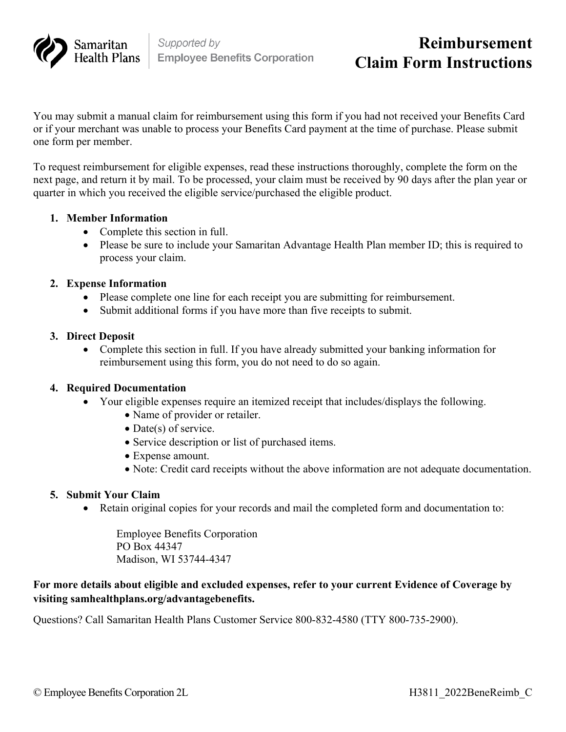

# **Reimbursement Claim Form Instructions**

You may submit a manual claim for reimbursement using this form if you had not received your Benefits Card or if your merchant was unable to process your Benefits Card payment at the time of purchase. Please submit one form per member.

To request reimbursement for eligible expenses, read these instructions thoroughly, complete the form on the next page, and return it by mail. To be processed, your claim must be received by 90 days after the plan year or quarter in which you received the eligible service/purchased the eligible product.

#### **1. Member Information**

- Complete this section in full.
- Please be sure to include your Samaritan Advantage Health Plan member ID; this is required to process your claim.

#### **2. Expense Information**

- Please complete one line for each receipt you are submitting for reimbursement.
- Submit additional forms if you have more than five receipts to submit.

#### **3. Direct Deposit**

• Complete this section in full. If you have already submitted your banking information for reimbursement using this form, you do not need to do so again.

#### **4. Required Documentation**

- Your eligible expenses require an itemized receipt that includes/displays the following.
	- Name of provider or retailer.
	- Date(s) of service.
	- Service description or list of purchased items.
	- Expense amount.
	- Note: Credit card receipts without the above information are not adequate documentation.

#### **5. Submit Your Claim**

• Retain original copies for your records and mail the completed form and documentation to:

Employee Benefits Corporation PO Box 44347 Madison, WI 53744-4347

#### **For more details about eligible and excluded expenses, refer to your current Evidence of Coverage by visiting samhealthplans.org/advantagebenefits.**

Questions? Call Samaritan Health Plans Customer Service 800-832-4580 (TTY 800-735-2900).